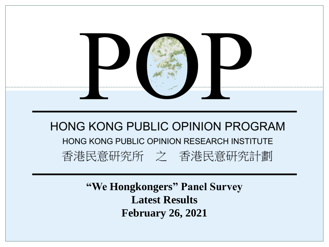

**"We Hongkongers" Panel Survey Latest Results February 26, 2021**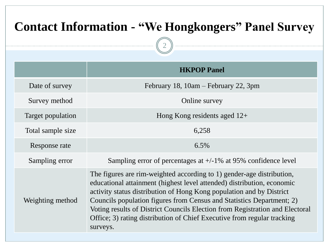# **Contact Information - "We Hongkongers" Panel Survey**

2

|                   | <b>HKPOP Panel</b>                                                                                                                                                                                                                                                                                                                                                                                                                                                      |
|-------------------|-------------------------------------------------------------------------------------------------------------------------------------------------------------------------------------------------------------------------------------------------------------------------------------------------------------------------------------------------------------------------------------------------------------------------------------------------------------------------|
| Date of survey    | February 18, $10am - February 22$ , 3pm                                                                                                                                                                                                                                                                                                                                                                                                                                 |
| Survey method     | Online survey                                                                                                                                                                                                                                                                                                                                                                                                                                                           |
| Target population | Hong Kong residents aged $12+$                                                                                                                                                                                                                                                                                                                                                                                                                                          |
| Total sample size | 6,258                                                                                                                                                                                                                                                                                                                                                                                                                                                                   |
| Response rate     | 6.5%                                                                                                                                                                                                                                                                                                                                                                                                                                                                    |
| Sampling error    | Sampling error of percentages at $+/-1\%$ at 95% confidence level                                                                                                                                                                                                                                                                                                                                                                                                       |
| Weighting method  | The figures are rim-weighted according to 1) gender-age distribution,<br>educational attainment (highest level attended) distribution, economic<br>activity status distribution of Hong Kong population and by District<br>Councils population figures from Census and Statistics Department; 2)<br>Voting results of District Councils Election from Registration and Electoral<br>Office; 3) rating distribution of Chief Executive from regular tracking<br>surveys. |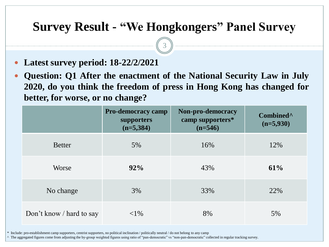3

- **Latest survey period: 18-22/2/2021**
- **Question: Q1 After the enactment of the National Security Law in July 2020, do you think the freedom of press in Hong Kong has changed for better, for worse, or no change?**

|                          | <b>Pro-democracy camp</b><br>supporters<br>$(n=5,384)$ | Non-pro-democracy<br>camp supporters*<br>$(n=546)$ | Combined <sup>^</sup><br>$(n=5,930)$ |
|--------------------------|--------------------------------------------------------|----------------------------------------------------|--------------------------------------|
| <b>Better</b>            | 5%                                                     | 16%                                                | 12%                                  |
| Worse                    | $92\%$                                                 | 43%                                                | 61%                                  |
| No change                | 3%                                                     | 33%                                                | 22%                                  |
| Don't know / hard to say | ${<}1\%$                                               | 8%                                                 | 5%                                   |

\* Include: pro-establishment camp supporters, centrist supporters, no political inclination / politically neutral / do not belong to any camp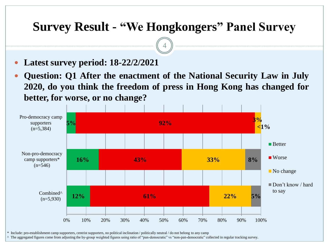4

**Latest survey period: 18-22/2/2021**

 **Question: Q1 After the enactment of the National Security Law in July 2020, do you think the freedom of press in Hong Kong has changed for better, for worse, or no change?**



\* Include: pro-establishment camp supporters, centrist supporters, no political inclination / politically neutral / do not belong to any camp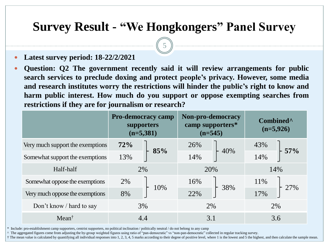5

- **Latest survey period: 18-22/2/2021**
- **Question: Q2 The government recently said it will review arrangements for public search services to preclude doxing and protect people's privacy. However, some media and research institutes worry the restrictions will hinder the public's right to know and harm public interest. How much do you support or oppose exempting searches from restrictions if they are for journalism or research?**

|                                  | <b>Pro-democracy camp</b><br>supporters<br>$(n=5,381)$ |     | Non-pro-democracy<br>camp supporters*<br>$(n=545)$ |     | Combined <sup>^</sup><br>$(n=5,926)$ |     |
|----------------------------------|--------------------------------------------------------|-----|----------------------------------------------------|-----|--------------------------------------|-----|
| Very much support the exemptions | 72%                                                    |     | 26%                                                |     | 43%                                  |     |
| Somewhat support the exemptions  | 13%                                                    | 85% | 14%                                                | 40% | 14%                                  | 57% |
| Half-half                        | 2%                                                     |     | 20%                                                |     | 14%                                  |     |
| Somewhat oppose the exemptions   | 2%                                                     |     | 16%                                                |     | 11%                                  |     |
| Very much oppose the exemptions  | 8%                                                     | 10% | 22%                                                | 38% | 17%                                  |     |
| Don't know / hard to say         |                                                        | 3%  | 2%                                                 |     | 2%                                   |     |
| $Mean^{\dagger}$                 |                                                        | 4.4 |                                                    | 3.1 |                                      | 3.6 |

\* Include: pro-establishment camp supporters, centrist supporters, no political inclination / politically neutral / do not belong to any camp

^ The aggregated figures come from adjusting the by-group weighted figures using ratio of "pan-democratic" vs "non-pan-democratic" collected in regular tracking survey.

† The mean value is calculated by quantifying all individual responses into 1, 2, 3, 4, 5 marks according to their degree of positive level, where 1 is the lowest and 5 the highest, and then calculate the sample mean.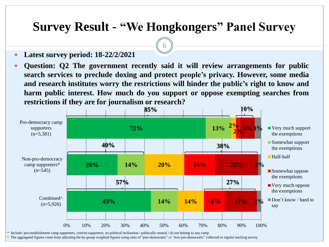6

- **Latest survey period: 18-22/2/2021**
- **Question: Q2 The government recently said it will review arrangements for public search services to preclude doxing and protect people's privacy. However, some media and research institutes worry the restrictions will hinder the public's right to know and harm public interest. How much do you support or oppose exempting searches from restrictions if they are for journalism or research?**

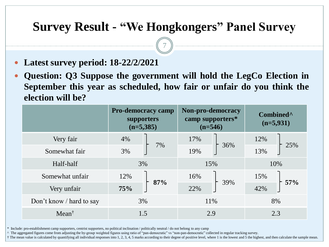7

- **Latest survey period: 18-22/2/2021**
- **Question: Q3 Suppose the government will hold the LegCo Election in September this year as scheduled, how fair or unfair do you think the election will be?**

|                          | <b>Pro-democracy camp</b><br>supporters<br>$(n=5,385)$ |     | Non-pro-democracy<br>camp supporters*<br>$(n=546)$ |     | Combined <sup>^</sup><br>$(n=5,931)$ |     |
|--------------------------|--------------------------------------------------------|-----|----------------------------------------------------|-----|--------------------------------------|-----|
| Very fair                | 4%                                                     |     | 17%                                                |     | 12%                                  |     |
| Somewhat fair            | 7%<br>3%                                               |     | 36%<br>19%                                         | 13% | 25%                                  |     |
| Half-half                | 3%                                                     |     | 15%                                                |     | 10%                                  |     |
| Somewhat unfair          | 12%                                                    | 87% | 16%                                                | 39% | 15%                                  | 57% |
| Very unfair              | 75%                                                    |     | 22%                                                |     | 42%                                  |     |
| Don't know / hard to say | 3%                                                     |     | 11%                                                |     | 8%                                   |     |
| Mean <sup>†</sup>        | 1.5                                                    |     | 2.9                                                |     | 2.3                                  |     |

\* Include: pro-establishment camp supporters, centrist supporters, no political inclination / politically neutral / do not belong to any camp

^ The aggregated figures come from adjusting the by-group weighted figures using ratio of "pan-democratic" vs "non-pan-democratic" collected in regular tracking survey.

† The mean value is calculated by quantifying all individual responses into 1, 2, 3, 4, 5 marks according to their degree of positive level, where 1 is the lowest and 5 the highest, and then calculate the sample mean.